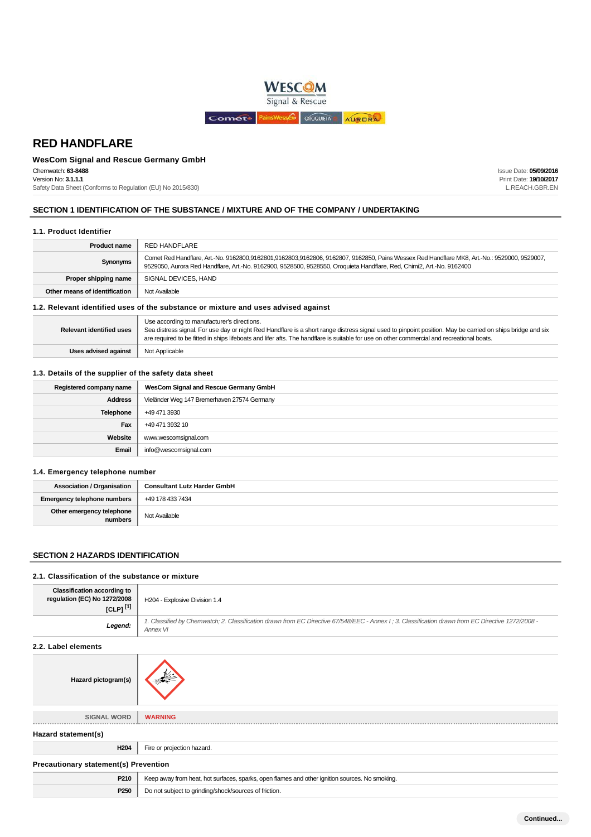

# **WesCom Signal and Rescue Germany GmbH**

Chemwatch: **63-8488** Version No: **3.1.1.1**

Safety Data Sheet (Conforms to Regulation (EU) No 2015/830)

Issue Date: **05/09/2016** Print Date: **19/10/2017** L.REACH.GBR.EN

## **SECTION 1 IDENTIFICATION OF THE SUBSTANCE / MIXTURE AND OF THE COMPANY / UNDERTAKING**

### **1.1. Product Identifier**

| <b>Product name</b>                                                                | RED HANDFLARE                                                                                                                                                                                                                                                         |
|------------------------------------------------------------------------------------|-----------------------------------------------------------------------------------------------------------------------------------------------------------------------------------------------------------------------------------------------------------------------|
| Synonyms                                                                           | Comet Red Handflare, Art.-No. 9162800,9162801,9162803,9162806, 9162807, 9162850, Pains Wessex Red Handflare MK8, Art.-No.: 9529000, 9529007,<br>9529050, Aurora Red Handflare, Art.-No. 9162900, 9528500, 9528550, Oroquieta Handflare, Red, Chimi2, Art.-No. 9162400 |
| Proper shipping name                                                               | SIGNAL DEVICES, HAND                                                                                                                                                                                                                                                  |
| Other means of identification                                                      | Not Available                                                                                                                                                                                                                                                         |
| 1.2. Relevant identified uses of the substance or mixture and uses advised against |                                                                                                                                                                                                                                                                       |
|                                                                                    | Use according to manufacturer's directions.                                                                                                                                                                                                                           |

Sea distress signal. For use day or night Red Handflare is a short range distress signal used to pinpoint position. May be carried on ships bridge and six

are required to be fitted in ships lifeboats and lifer afts. The handflare is suitable for use on other commercial and recreational boats.

## **1.3. Details of the supplier of the safety data sheet**

**Uses advised against** Not Applicable

| Registered company name | WesCom Signal and Rescue Germany GmbH       |
|-------------------------|---------------------------------------------|
| <b>Address</b>          | Vieländer Weg 147 Bremerhaven 27574 Germany |
| <b>Telephone</b>        | +49 471 3930                                |
| Fax                     | +49 471 3932 10                             |
| Website                 | www.wescomsignal.com                        |
| Email                   | info@wescomsignal.com                       |

### **1.4. Emergency telephone number**

**Relevant identified uses**

| <b>Association / Organisation</b>    | <b>Consultant Lutz Harder GmbH</b> |
|--------------------------------------|------------------------------------|
| Emergency telephone numbers          | +49 178 433 7434                   |
| Other emergency telephone<br>numbers | Not Available                      |

### **SECTION 2 HAZARDS IDENTIFICATION**

## **2.1. Classification of the substance or mixture**

| 2.1. Glassification of the substance of mixture                                      |                                                                                                                                                               |
|--------------------------------------------------------------------------------------|---------------------------------------------------------------------------------------------------------------------------------------------------------------|
| <b>Classification according to</b><br>regulation (EC) No 1272/2008<br>[CLP] $^{[1]}$ | H204 - Explosive Division 1.4                                                                                                                                 |
| Legend:                                                                              | 1. Classified by Chemwatch; 2. Classification drawn from EC Directive 67/548/EEC - Annex I; 3. Classification drawn from EC Directive 1272/2008 -<br>Annex VI |
| 2.2. Label elements                                                                  |                                                                                                                                                               |
| Hazard pictogram(s)                                                                  |                                                                                                                                                               |
| <b>SIGNAL WORD</b>                                                                   | <b>WARNING</b>                                                                                                                                                |
| Hazard statement(s)                                                                  |                                                                                                                                                               |
| H <sub>204</sub>                                                                     | Fire or projection hazard.                                                                                                                                    |
| <b>Precautionary statement(s) Prevention</b>                                         |                                                                                                                                                               |
| P210                                                                                 | Keep away from heat, hot surfaces, sparks, open flames and other ignition sources. No smoking.                                                                |

**P250** Do not subject to grinding/shock/sources of friction.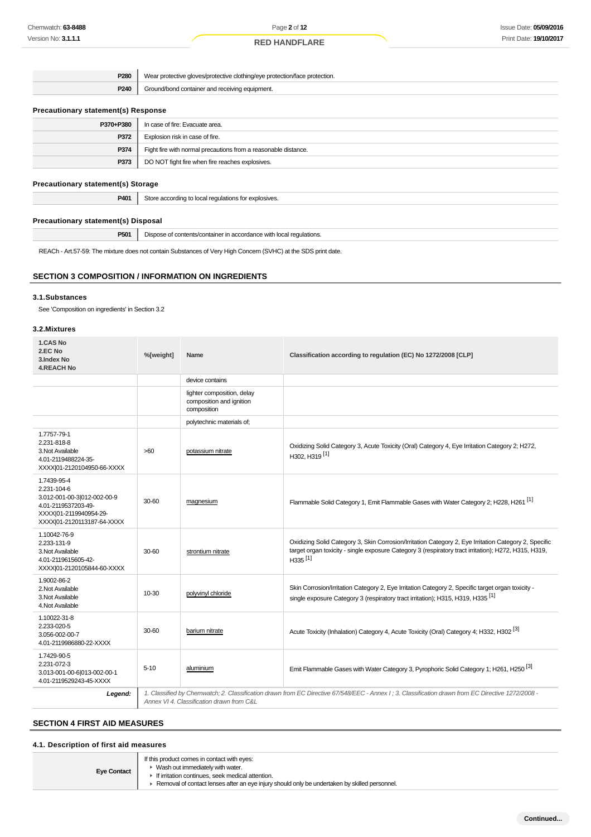| P <sub>280</sub> | Wear protective gloves/protective clothing/eye protection/face protection. |
|------------------|----------------------------------------------------------------------------|
| P240             | Ground/bond container and receiving equipment.                             |
|                  |                                                                            |

## **Precautionary statement(s) Response**

| P370+P380 | In case of fire: Evacuate area.                                |
|-----------|----------------------------------------------------------------|
| P372      | Explosion risk in case of fire.                                |
| P374      | Fight fire with normal precautions from a reasonable distance. |
| P373      | DO NOT fight fire when fire reaches explosives.                |
|           |                                                                |

## **Precautionary statement(s) Storage**

| <b>P401</b> Store according to local regulations for explosives. |
|------------------------------------------------------------------|
|                                                                  |

### **Precautionary statement(s) Disposal**

**P501** Dispose of contents/container in accordance with local regulations.

REACh - Art.57-59: The mixture does not contain Substances of Very High Concern (SVHC) at the SDS print date.

## **SECTION 3 COMPOSITION / INFORMATION ON INGREDIENTS**

### **3.1.Substances**

See 'Composition on ingredients' in Section 3.2

### **3.2.Mixtures**

| 1.CAS No<br>2.EC No<br>3.Index No<br><b>4.REACH No</b>                                                                                   | %[weight] | <b>Name</b>                                                           | Classification according to regulation (EC) No 1272/2008 [CLP]                                                                                                                                                                       |
|------------------------------------------------------------------------------------------------------------------------------------------|-----------|-----------------------------------------------------------------------|--------------------------------------------------------------------------------------------------------------------------------------------------------------------------------------------------------------------------------------|
|                                                                                                                                          |           | device contains                                                       |                                                                                                                                                                                                                                      |
|                                                                                                                                          |           | lighter composition, delay<br>composition and ignition<br>composition |                                                                                                                                                                                                                                      |
|                                                                                                                                          |           | polytechnic materials of;                                             |                                                                                                                                                                                                                                      |
| 1.7757-79-1<br>2.231-818-8<br>3. Not Available<br>4.01-2119488224-35-<br>XXXX 01-2120104950-66-XXXX                                      | >60       | potassium nitrate                                                     | Oxidizing Solid Category 3, Acute Toxicity (Oral) Category 4, Eye Irritation Category 2; H272,<br>H302, H319 <sup>[1]</sup>                                                                                                          |
| 1.7439-95-4<br>2.231-104-6<br>3.012-001-00-3 012-002-00-9<br>4.01-2119537203-49-<br>XXXX 01-2119940954-29-<br>XXXX 01-2120113187-64-XXXX | 30-60     | magnesium                                                             | Flammable Solid Category 1, Emit Flammable Gases with Water Category 2; H228, H261 <sup>[1]</sup>                                                                                                                                    |
| 1.10042-76-9<br>2.233-131-9<br>3. Not Available<br>4.01-2119615605-42-<br>XXXX 01-2120105844-60-XXXX                                     | 30-60     | strontium nitrate                                                     | Oxidizing Solid Category 3, Skin Corrosion/Irritation Category 2, Eye Irritation Category 2, Specific<br>target organ toxicity - single exposure Category 3 (respiratory tract irritation); H272, H315, H319,<br>H335 <sup>[1]</sup> |
| 1.9002-86-2<br>2. Not Available<br>3. Not Available<br>4. Not Available                                                                  | 10-30     | polyvinyl chloride                                                    | Skin Corrosion/Irritation Category 2, Eye Irritation Category 2, Specific target organ toxicity -<br>single exposure Category 3 (respiratory tract irritation); H315, H319, H335 <sup>[1]</sup>                                      |
| 1.10022-31-8<br>2.233-020-5<br>3.056-002-00-7<br>4.01-2119986880-22-XXXX                                                                 | 30-60     | barium nitrate                                                        | Acute Toxicity (Inhalation) Category 4, Acute Toxicity (Oral) Category 4; H332, H302 <sup>[3]</sup>                                                                                                                                  |
| 1.7429-90-5<br>2.231-072-3<br>3.013-001-00-6 013-002-00-1<br>4.01-2119529243-45-XXXX                                                     | $5 - 10$  | aluminium                                                             | Emit Flammable Gases with Water Category 3, Pyrophoric Solid Category 1; H261, H250 <sup>[3]</sup>                                                                                                                                   |
| Legend:                                                                                                                                  |           | Annex VI 4. Classification drawn from C&L                             | 1. Classified by Chemwatch; 2. Classification drawn from EC Directive 67/548/EEC - Annex I; 3. Classification drawn from EC Directive 1272/2008 -                                                                                    |

# **SECTION 4 FIRST AID MEASURES**

### **4.1. Description of first aid measures**

| If this product comes in contact with eyes:<br>• Wash out immediately with water.<br><b>Eye Contact</b><br>If irritation continues, seek medical attention.<br>► Removal of contact lenses after an eye injury should only be undertaken by skilled personnel. |
|----------------------------------------------------------------------------------------------------------------------------------------------------------------------------------------------------------------------------------------------------------------|
|----------------------------------------------------------------------------------------------------------------------------------------------------------------------------------------------------------------------------------------------------------------|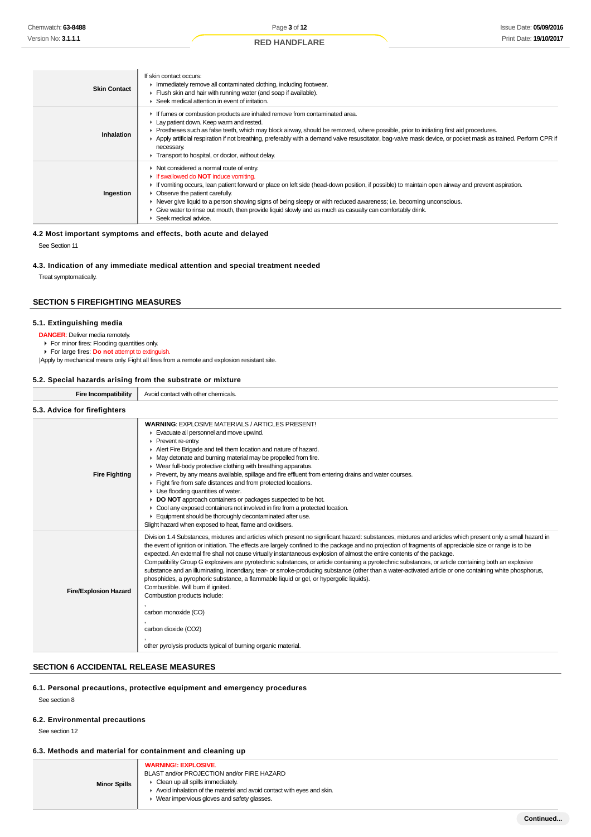| <b>Skin Contact</b> | If skin contact occurs:<br>Inmediately remove all contaminated clothing, including footwear.<br>Flush skin and hair with running water (and soap if available).<br>▶ Seek medical attention in event of irritation.                                                                                                                                                                                                                                                                                                                           |
|---------------------|-----------------------------------------------------------------------------------------------------------------------------------------------------------------------------------------------------------------------------------------------------------------------------------------------------------------------------------------------------------------------------------------------------------------------------------------------------------------------------------------------------------------------------------------------|
| Inhalation          | If fumes or combustion products are inhaled remove from contaminated area.<br>Lay patient down. Keep warm and rested.<br>► Prostheses such as false teeth, which may block airway, should be removed, where possible, prior to initiating first aid procedures.<br>▶ Apply artificial respiration if not breathing, preferably with a demand valve resuscitator, bag-valve mask device, or pocket mask as trained. Perform CPR if<br>necessary.<br>Transport to hospital, or doctor, without delay.                                           |
| Ingestion           | • Not considered a normal route of entry.<br>If swallowed do <b>NOT</b> induce vomiting.<br>If vomiting occurs, lean patient forward or place on left side (head-down position, if possible) to maintain open airway and prevent aspiration.<br>• Observe the patient carefully.<br>► Never give liquid to a person showing signs of being sleepy or with reduced awareness; i.e. becoming unconscious.<br>• Give water to rinse out mouth, then provide liquid slowly and as much as casualty can comfortably drink.<br>Seek medical advice. |

## **4.2 Most important symptoms and effects, both acute and delayed**

See Section 11

#### **4.3. Indication of any immediate medical attention and special treatment needed**

Treat symptomatically.

### **SECTION 5 FIREFIGHTING MEASURES**

### **5.1. Extinguishing media**

**DANGER**: Deliver media remotely.

For minor fires: Flooding quantities only.

For large fires: **Do not** attempt to extinguish.

|Apply by mechanical means only. Fight all fires from a remote and explosion resistant site.

### **5.2. Special hazards arising from the substrate or mixture**

| <b>Fire Incompatibility</b>  | Avoid contact with other chemicals.                                                                                                                                                                                                                                                                                                                                                                                                                                                                                                                                                                                                                                                                                                                                                                                                                                                                                                                                                                                                                       |
|------------------------------|-----------------------------------------------------------------------------------------------------------------------------------------------------------------------------------------------------------------------------------------------------------------------------------------------------------------------------------------------------------------------------------------------------------------------------------------------------------------------------------------------------------------------------------------------------------------------------------------------------------------------------------------------------------------------------------------------------------------------------------------------------------------------------------------------------------------------------------------------------------------------------------------------------------------------------------------------------------------------------------------------------------------------------------------------------------|
| 5.3. Advice for firefighters |                                                                                                                                                                                                                                                                                                                                                                                                                                                                                                                                                                                                                                                                                                                                                                                                                                                                                                                                                                                                                                                           |
| <b>Fire Fighting</b>         | <b>WARNING: EXPLOSIVE MATERIALS / ARTICLES PRESENT!</b><br>Evacuate all personnel and move upwind.<br>Prevent re-entry.<br>Alert Fire Brigade and tell them location and nature of hazard.<br>$\blacktriangleright$ May detonate and burning material may be propelled from fire.<br>• Wear full-body protective clothing with breathing apparatus.<br>Prevent, by any means available, spillage and fire effluent from entering drains and water courses.<br>Fight fire from safe distances and from protected locations.<br>$\blacktriangleright$ Use flooding quantities of water.<br>DO NOT approach containers or packages suspected to be hot.<br>▶ Cool any exposed containers not involved in fire from a protected location.<br>Equipment should be thoroughly decontaminated after use.<br>Slight hazard when exposed to heat, flame and oxidisers.                                                                                                                                                                                             |
| <b>Fire/Explosion Hazard</b> | Division 1.4 Substances, mixtures and articles which present no significant hazard: substances, mixtures and articles which present only a small hazard in<br>the event of ignition or initiation. The effects are largely confined to the package and no projection of fragments of appreciable size or range is to be<br>expected. An external fire shall not cause virtually instantaneous explosion of almost the entire contents of the package.<br>Compatibility Group G explosives are pyrotechnic substances, or article containing a pyrotechnic substances, or article containing both an explosive<br>substance and an illuminating, incendiary, tear- or smoke-producing substance (other than a water-activated article or one containing white phosphorus,<br>phosphides, a pyrophoric substance, a flammable liquid or gel, or hypergolic liquids).<br>Combustible. Will burn if ignited.<br>Combustion products include:<br>carbon monoxide (CO)<br>carbon dioxide (CO2)<br>other pyrolysis products typical of burning organic material. |

### **SECTION 6 ACCIDENTAL RELEASE MEASURES**

### **6.1. Personal precautions, protective equipment and emergency procedures**

See section 8

#### **6.2. Environmental precautions**

See section 12

### **6.3. Methods and material for containment and cleaning up**

| <b>Minor Spills</b> | <b>WARNING!: EXPLOSIVE.</b><br>BLAST and/or PROJECTION and/or FIRE HAZARD<br>• Clean up all spills immediately.<br>Avoid inhalation of the material and avoid contact with eves and skin.<br>▶ Wear impervious gloves and safety glasses. |
|---------------------|-------------------------------------------------------------------------------------------------------------------------------------------------------------------------------------------------------------------------------------------|
|---------------------|-------------------------------------------------------------------------------------------------------------------------------------------------------------------------------------------------------------------------------------------|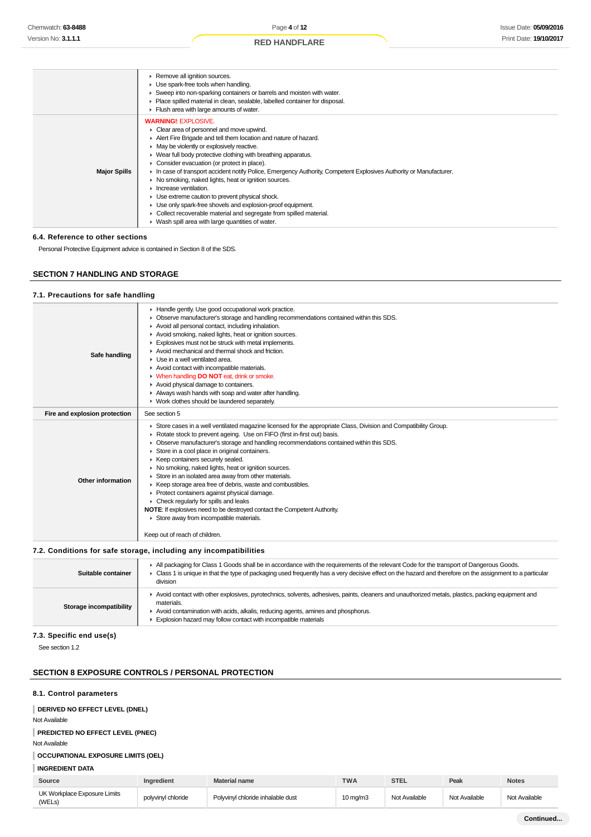|  | <b>RED HANDFLARE</b> |  |
|--|----------------------|--|
|--|----------------------|--|

|                     | Remove all ignition sources.<br>Use spark-free tools when handling.<br>Sweep into non-sparking containers or barrels and moisten with water.<br>Place spilled material in clean, sealable, labelled container for disposal.<br>Flush area with large amounts of water.                                                                                                                                                                                                                                                                                                                                                                                                                                                                                             |
|---------------------|--------------------------------------------------------------------------------------------------------------------------------------------------------------------------------------------------------------------------------------------------------------------------------------------------------------------------------------------------------------------------------------------------------------------------------------------------------------------------------------------------------------------------------------------------------------------------------------------------------------------------------------------------------------------------------------------------------------------------------------------------------------------|
| <b>Major Spills</b> | <b>WARNING!: EXPLOSIVE.</b><br>• Clear area of personnel and move upwind.<br>Alert Fire Brigade and tell them location and nature of hazard.<br>• May be violently or explosively reactive.<br>▶ Wear full body protective clothing with breathing apparatus.<br>• Consider evacuation (or protect in place).<br>In case of transport accident notify Police, Emergency Authority, Competent Explosives Authority or Manufacturer.<br>▶ No smoking, naked lights, heat or ignition sources.<br>Increase ventilation.<br>• Use extreme caution to prevent physical shock.<br>Use only spark-free shovels and explosion-proof equipment.<br>• Collect recoverable material and segregate from spilled material.<br>• Wash spill area with large quantities of water. |

### **6.4. Reference to other sections**

Personal Protective Equipment advice is contained in Section 8 of the SDS.

## **SECTION 7 HANDLING AND STORAGE**

### **7.1. Precautions for safe handling**

| Safe handling                 | Handle gently. Use good occupational work practice.<br>• Observe manufacturer's storage and handling recommendations contained within this SDS.<br>Avoid all personal contact, including inhalation.<br>Avoid smoking, naked lights, heat or ignition sources.<br>Explosives must not be struck with metal implements.<br>Avoid mechanical and thermal shock and friction.<br>$\blacktriangleright$ Use in a well ventilated area.<br>Avoid contact with incompatible materials.<br>• When handling DO NOT eat, drink or smoke.<br>Avoid physical damage to containers.<br>Always wash hands with soap and water after handling.<br>• Work clothes should be laundered separately.                                                                                                                                                           |
|-------------------------------|----------------------------------------------------------------------------------------------------------------------------------------------------------------------------------------------------------------------------------------------------------------------------------------------------------------------------------------------------------------------------------------------------------------------------------------------------------------------------------------------------------------------------------------------------------------------------------------------------------------------------------------------------------------------------------------------------------------------------------------------------------------------------------------------------------------------------------------------|
| Fire and explosion protection | See section 5                                                                                                                                                                                                                                                                                                                                                                                                                                                                                                                                                                                                                                                                                                                                                                                                                                |
| Other information             | ► Store cases in a well ventilated magazine licensed for the appropriate Class, Division and Compatibility Group.<br>▶ Rotate stock to prevent ageing. Use on FIFO (first in-first out) basis.<br>• Observe manufacturer's storage and handling recommendations contained within this SDS.<br>Store in a cool place in original containers.<br>▶ Keep containers securely sealed.<br>• No smoking, naked lights, heat or ignition sources.<br>Store in an isolated area away from other materials.<br>▶ Keep storage area free of debris, waste and combustibles.<br>▶ Protect containers against physical damage.<br>$\triangleright$ Check regularly for spills and leaks<br><b>NOTE:</b> If explosives need to be destroyed contact the Competent Authority.<br>Store away from incompatible materials.<br>Keep out of reach of children. |

### **7.2. Conditions for safe storage, including any incompatibilities**

| Suitable container      | All packaging for Class 1 Goods shall be in accordance with the requirements of the relevant Code for the transport of Dangerous Goods.<br>Class 1 is unique in that the type of packaging used frequently has a very decisive effect on the hazard and therefore on the assignment to a particular<br>division        |
|-------------------------|------------------------------------------------------------------------------------------------------------------------------------------------------------------------------------------------------------------------------------------------------------------------------------------------------------------------|
| Storage incompatibility | Avoid contact with other explosives, pyrotechnics, solvents, adhesives, paints, cleaners and unauthorized metals, plastics, packing equipment and<br>materials.<br>Avoid contamination with acids, alkalis, reducing agents, amines and phosphorus.<br>Explosion hazard may follow contact with incompatible materials |

### **7.3. Specific end use(s)**

See section 1.2

### **SECTION 8 EXPOSURE CONTROLS / PERSONAL PROTECTION**

### **8.1. Control parameters**

### **DERIVED NO EFFECT LEVEL (DNEL)**

Not Available

### **PREDICTED NO EFFECT LEVEL (PNEC)**

Not Available

# **OCCUPATIONAL EXPOSURE LIMITS (OEL)**

## **INGREDIENT DATA**

| Source                                 | Ingredient         | Material name                     | <b>TWA</b>        | <b>STEL</b>   | Peak          | <b>Notes</b>  |
|----------------------------------------|--------------------|-----------------------------------|-------------------|---------------|---------------|---------------|
| UK Workplace Exposure Limits<br>(WELs) | polyvinyl chloride | Polyvinyl chloride inhalable dust | $10 \text{ mg/m}$ | Not Available | Not Available | Not Available |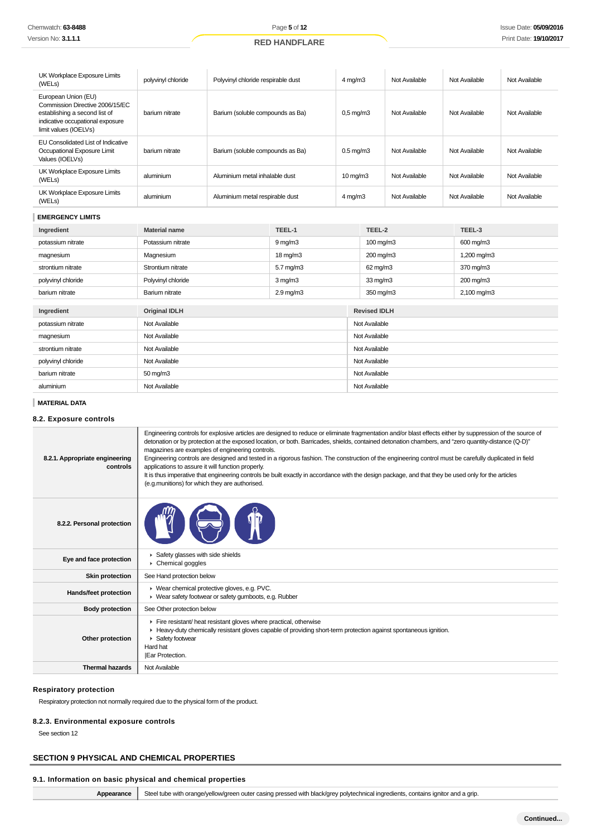| UK Workplace Exposure Limits<br>(WELs)                                                                                                               | polyvinyl chloride   | Polyvinyl chloride respirable dust |                     | $4 \text{ mg/m}$ 3   |                   | Not Available | Not Available | Not Available |  |
|------------------------------------------------------------------------------------------------------------------------------------------------------|----------------------|------------------------------------|---------------------|----------------------|-------------------|---------------|---------------|---------------|--|
| European Union (EU)<br>Commission Directive 2006/15/EC<br>establishing a second list of<br>indicative occupational exposure<br>limit values (IOELVs) | barium nitrate       | Barium (soluble compounds as Ba)   |                     | $0,5$ mg/m $3$       |                   | Not Available | Not Available | Not Available |  |
| EU Consolidated List of Indicative<br>Occupational Exposure Limit<br>Values (IOELVs)                                                                 | barium nitrate       | Barium (soluble compounds as Ba)   |                     | $0.5 \text{ mg/m}$ 3 |                   | Not Available | Not Available | Not Available |  |
| UK Workplace Exposure Limits<br>(WELs)                                                                                                               | aluminium            | Aluminium metal inhalable dust     |                     | $10 \text{ mg/m}$    |                   | Not Available | Not Available | Not Available |  |
| UK Workplace Exposure Limits<br>(WELs)                                                                                                               | aluminium            | Aluminium metal respirable dust    |                     | $4$ mg/m $3$         |                   | Not Available | Not Available | Not Available |  |
| <b>EMERGENCY LIMITS</b>                                                                                                                              |                      |                                    |                     |                      |                   |               |               |               |  |
| Ingredient                                                                                                                                           | <b>Material name</b> |                                    | TEEL-1              | TEEL-2               |                   | TEEL-3        |               |               |  |
| potassium nitrate                                                                                                                                    | Potassium nitrate    |                                    | $9 \,\mathrm{mq/m}$ |                      | 100 mg/m3         |               | 600 mg/m3     |               |  |
| magnesium                                                                                                                                            | Magnesium            |                                    | $18 \text{ mg/m}$   | 200 mg/m3            |                   |               | 1,200 mg/m3   |               |  |
| strontium nitrate                                                                                                                                    | Strontium nitrate    |                                    | $5.7$ mg/m $3$      |                      | $62 \text{ mg/m}$ |               | 370 mg/m3     |               |  |
| polyvinyl chloride                                                                                                                                   | Polyvinyl chloride   |                                    | $3$ mg/m $3$        |                      | $33 \text{ mg/m}$ |               | 200 mg/m3     |               |  |
| barium nitrate                                                                                                                                       | Barium nitrate       |                                    | $2.9$ mg/m $3$      |                      | 350 mg/m3         |               | 2,100 mg/m3   |               |  |

| Ingredient         | <b>Original IDLH</b> | <b>Revised IDLH</b> |
|--------------------|----------------------|---------------------|
| potassium nitrate  | Not Available        | Not Available       |
| magnesium          | Not Available        | Not Available       |
| strontium nitrate  | Not Available        | Not Available       |
| polyvinyl chloride | Not Available        | Not Available       |
| barium nitrate     | $50 \text{ mg/m}$ 3  | Not Available       |
| aluminium          | Not Available        | Not Available       |

## **MATERIAL DATA**

# **8.2. Exposure controls**

| 8.2.1. Appropriate engineering<br>controls | Engineering controls for explosive articles are designed to reduce or eliminate fragmentation and/or blast effects either by suppression of the source of<br>detonation or by protection at the exposed location, or both. Barricades, shields, contained detonation chambers, and "zero quantity-distance (Q-D)"<br>magazines are examples of engineering controls.<br>Engineering controls are designed and tested in a rigorous fashion. The construction of the engineering control must be carefully duplicated in field<br>applications to assure it will function properly.<br>It is thus imperative that engineering controls be built exactly in accordance with the design package, and that they be used only for the articles<br>(e.g.munitions) for which they are authorised. |
|--------------------------------------------|---------------------------------------------------------------------------------------------------------------------------------------------------------------------------------------------------------------------------------------------------------------------------------------------------------------------------------------------------------------------------------------------------------------------------------------------------------------------------------------------------------------------------------------------------------------------------------------------------------------------------------------------------------------------------------------------------------------------------------------------------------------------------------------------|
| 8.2.2. Personal protection                 |                                                                                                                                                                                                                                                                                                                                                                                                                                                                                                                                                                                                                                                                                                                                                                                             |
| Eye and face protection                    | ▶ Safety glasses with side shields<br>$\triangleright$ Chemical goggles                                                                                                                                                                                                                                                                                                                                                                                                                                                                                                                                                                                                                                                                                                                     |
| <b>Skin protection</b>                     | See Hand protection below                                                                                                                                                                                                                                                                                                                                                                                                                                                                                                                                                                                                                                                                                                                                                                   |
| Hands/feet protection                      | ▶ Wear chemical protective gloves, e.g. PVC.<br>• Wear safety footwear or safety gumboots, e.g. Rubber                                                                                                                                                                                                                                                                                                                                                                                                                                                                                                                                                                                                                                                                                      |
| <b>Body protection</b>                     | See Other protection below                                                                                                                                                                                                                                                                                                                                                                                                                                                                                                                                                                                                                                                                                                                                                                  |
| Other protection                           | Fire resistant/ heat resistant gloves where practical, otherwise<br>► Heavy-duty chemically resistant gloves capable of providing short-term protection against spontaneous ignition.<br>▶ Safety footwear<br>Hard hat<br>Ear Protection.                                                                                                                                                                                                                                                                                                                                                                                                                                                                                                                                                   |
| <b>Thermal hazards</b>                     | Not Available                                                                                                                                                                                                                                                                                                                                                                                                                                                                                                                                                                                                                                                                                                                                                                               |

## **Respiratory protection**

Respiratory protection not normally required due to the physical form of the product.

## **8.2.3. Environmental exposure controls**

See section 12

 $\overline{\phantom{a}}$ 

## **SECTION 9 PHYSICAL AND CHEMICAL PROPERTIES**

# **9.1. Information on basic physical and chemical properties**

|  | Steel tube with orange/yellow/green outer casing pressed with black/grey polytechnical ingredients, contains ignitor and a grip. |  |
|--|----------------------------------------------------------------------------------------------------------------------------------|--|
|  |                                                                                                                                  |  |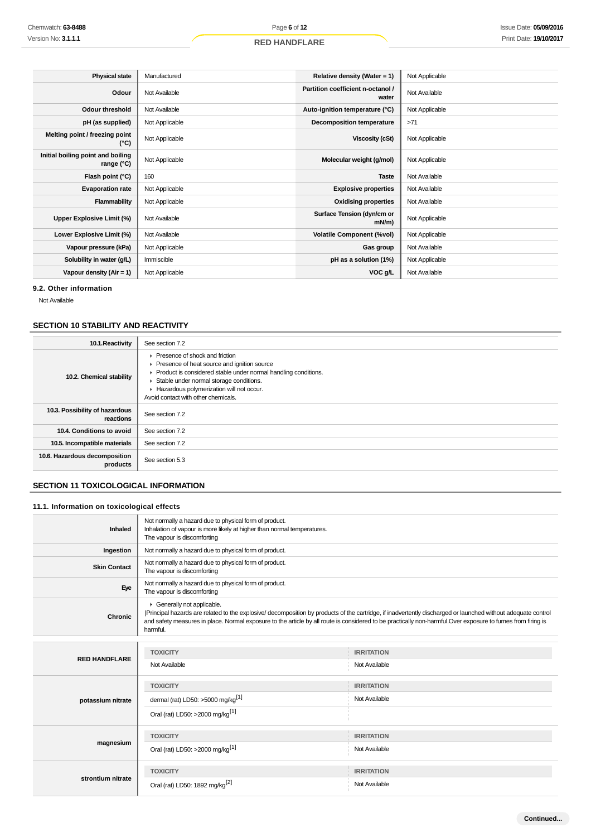| <b>Physical state</b>                           | Manufactured   | Relative density (Water = 1)               | Not Applicable |
|-------------------------------------------------|----------------|--------------------------------------------|----------------|
| Odour                                           | Not Available  | Partition coefficient n-octanol /<br>water | Not Available  |
| <b>Odour threshold</b>                          | Not Available  | Auto-ignition temperature (°C)             | Not Applicable |
| pH (as supplied)                                | Not Applicable | Decomposition temperature                  | >71            |
| Melting point / freezing point<br>(°C)          | Not Applicable | Viscosity (cSt)                            | Not Applicable |
| Initial boiling point and boiling<br>range (°C) | Not Applicable | Molecular weight (g/mol)                   | Not Applicable |
| Flash point (°C)                                | 160            | <b>Taste</b>                               | Not Available  |
| <b>Evaporation rate</b>                         | Not Applicable | <b>Explosive properties</b>                | Not Available  |
| Flammability                                    | Not Applicable | <b>Oxidising properties</b>                | Not Available  |
| Upper Explosive Limit (%)                       | Not Available  | Surface Tension (dyn/cm or<br>$mN/m$ )     | Not Applicable |
| Lower Explosive Limit (%)                       | Not Available  | <b>Volatile Component (%vol)</b>           | Not Applicable |
| Vapour pressure (kPa)                           | Not Applicable | Gas group                                  | Not Available  |
| Solubility in water (g/L)                       | Immiscible     | pH as a solution (1%)                      | Not Applicable |
| Vapour density $(Air = 1)$                      | Not Applicable | VOC g/L                                    | Not Available  |

## **9.2. Other information**

Not Available

# **SECTION 10 STABILITY AND REACTIVITY**

| 10.1. Reactivity                            | See section 7.2                                                                                                                                                                                                                                                                     |
|---------------------------------------------|-------------------------------------------------------------------------------------------------------------------------------------------------------------------------------------------------------------------------------------------------------------------------------------|
| 10.2. Chemical stability                    | ▶ Presence of shock and friction<br>▶ Presence of heat source and ignition source<br>▶ Product is considered stable under normal handling conditions.<br>Stable under normal storage conditions.<br>Hazardous polymerization will not occur.<br>Avoid contact with other chemicals. |
| 10.3. Possibility of hazardous<br>reactions | See section 7.2                                                                                                                                                                                                                                                                     |
| 10.4. Conditions to avoid                   | See section 7.2                                                                                                                                                                                                                                                                     |
| 10.5. Incompatible materials                | See section 7.2                                                                                                                                                                                                                                                                     |
| 10.6. Hazardous decomposition<br>products   | See section 5.3                                                                                                                                                                                                                                                                     |

# **SECTION 11 TOXICOLOGICAL INFORMATION**

## **11.1. Information on toxicological effects**

| Inhaled              | Not normally a hazard due to physical form of product.<br>Inhalation of vapour is more likely at higher than normal temperatures.<br>The vapour is discomforting                                      |                                                                                                                                                             |
|----------------------|-------------------------------------------------------------------------------------------------------------------------------------------------------------------------------------------------------|-------------------------------------------------------------------------------------------------------------------------------------------------------------|
| Ingestion            | Not normally a hazard due to physical form of product.                                                                                                                                                |                                                                                                                                                             |
| <b>Skin Contact</b>  | Not normally a hazard due to physical form of product.<br>The vapour is discomforting                                                                                                                 |                                                                                                                                                             |
| Eye                  | Not normally a hazard due to physical form of product.<br>The vapour is discomforting                                                                                                                 |                                                                                                                                                             |
| Chronic              | Generally not applicable.<br>and safety measures in place. Normal exposure to the article by all route is considered to be practically non-harmful. Over exposure to fumes from firing is<br>harmful. | Principal hazards are related to the explosive/decomposition by products of the cartridge, if inadvertently discharged or launched without adequate control |
|                      |                                                                                                                                                                                                       |                                                                                                                                                             |
| <b>RED HANDFLARE</b> | <b>TOXICITY</b>                                                                                                                                                                                       | <b>IRRITATION</b>                                                                                                                                           |
|                      | Not Available                                                                                                                                                                                         | Not Available                                                                                                                                               |
|                      | <b>TOXICITY</b>                                                                                                                                                                                       | <b>IRRITATION</b>                                                                                                                                           |
| potassium nitrate    | dermal (rat) LD50: >5000 mg/kg <sup>[1]</sup>                                                                                                                                                         | Not Available                                                                                                                                               |
|                      | Oral (rat) LD50: >2000 mg/kg <sup>[1]</sup>                                                                                                                                                           |                                                                                                                                                             |
|                      | <b>TOXICITY</b>                                                                                                                                                                                       | <b>IRRITATION</b>                                                                                                                                           |
| magnesium            | Oral (rat) LD50: >2000 mg/kg <sup>[1]</sup>                                                                                                                                                           | Not Available                                                                                                                                               |
|                      | <b>TOXICITY</b>                                                                                                                                                                                       | <b>IRRITATION</b>                                                                                                                                           |
| strontium nitrate    | Oral (rat) LD50: 1892 mg/kg <sup>[2]</sup>                                                                                                                                                            | Not Available                                                                                                                                               |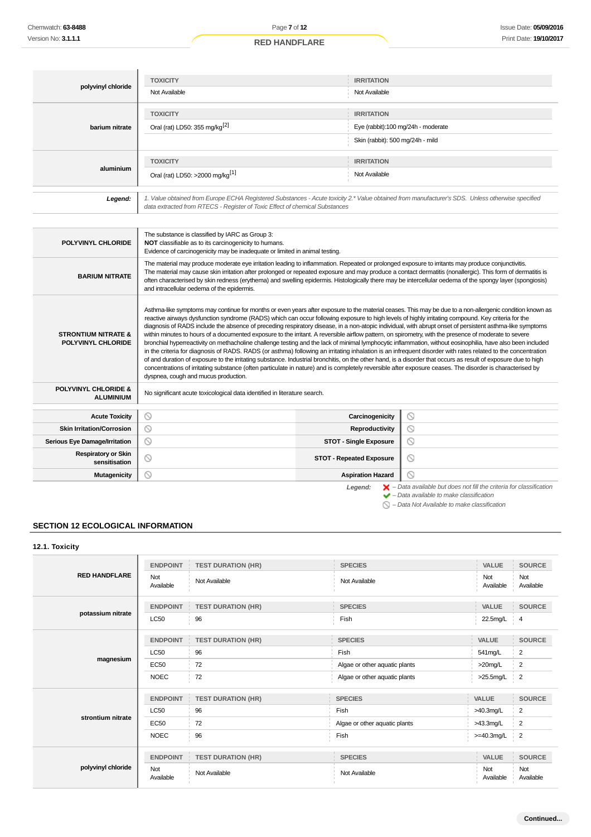| polyvinyl chloride                                                                                                                                                                                                                         | <b>TOXICITY</b><br>Not Available                               | <b>IRRITATION</b><br>Not Available                                                          |  |
|--------------------------------------------------------------------------------------------------------------------------------------------------------------------------------------------------------------------------------------------|----------------------------------------------------------------|---------------------------------------------------------------------------------------------|--|
| barium nitrate                                                                                                                                                                                                                             | <b>TOXICITY</b><br>Oral (rat) LD50: 355 mg/kg <sup>[2]</sup>   | <b>IRRITATION</b><br>Eye (rabbit):100 mg/24h - moderate<br>Skin (rabbit): 500 mg/24h - mild |  |
| aluminium                                                                                                                                                                                                                                  | <b>TOXICITY</b><br>Oral (rat) LD50: >2000 mg/kg <sup>[1]</sup> | <b>IRRITATION</b><br>Not Available                                                          |  |
| 1. Value obtained from Europe ECHA Registered Substances - Acute toxicity 2.* Value obtained from manufacturer's SDS. Unless otherwise specified<br>Legend:<br>data extracted from RTECS - Register of Toxic Effect of chemical Substances |                                                                |                                                                                             |  |

| POLYVINYL CHLORIDE                                   | The substance is classified by IARC as Group 3:<br>NOT classifiable as to its carcinogenicity to humans.<br>Evidence of carcinogenicity may be inadequate or limited in animal testing.                                                                                                                                                                                                                                                                                                                                                                                                                                                                                                                                                                                                                                                                                                                                                                                                                                                                                                                                                                                                                                                                                                                                                    |                                                                                                                                                           |  |  |  |
|------------------------------------------------------|--------------------------------------------------------------------------------------------------------------------------------------------------------------------------------------------------------------------------------------------------------------------------------------------------------------------------------------------------------------------------------------------------------------------------------------------------------------------------------------------------------------------------------------------------------------------------------------------------------------------------------------------------------------------------------------------------------------------------------------------------------------------------------------------------------------------------------------------------------------------------------------------------------------------------------------------------------------------------------------------------------------------------------------------------------------------------------------------------------------------------------------------------------------------------------------------------------------------------------------------------------------------------------------------------------------------------------------------|-----------------------------------------------------------------------------------------------------------------------------------------------------------|--|--|--|
| <b>BARIUM NITRATE</b>                                | The material may produce moderate eye irritation leading to inflammation. Repeated or prolonged exposure to irritants may produce conjunctivitis.<br>The material may cause skin irritation after prolonged or repeated exposure and may produce a contact dermatitis (nonallergic). This form of dermatitis is<br>often characterised by skin redness (erythema) and swelling epidermis. Histologically there may be intercellular oedema of the spongy layer (spongiosis)<br>and intracellular oedema of the epidermis.                                                                                                                                                                                                                                                                                                                                                                                                                                                                                                                                                                                                                                                                                                                                                                                                                  |                                                                                                                                                           |  |  |  |
| <b>STRONTIUM NITRATE &amp;</b><br>POLYVINYL CHLORIDE | Asthma-like symptoms may continue for months or even years after exposure to the material ceases. This may be due to a non-allergenic condition known as<br>reactive airways dysfunction syndrome (RADS) which can occur following exposure to high levels of highly irritating compound. Key criteria for the<br>diagnosis of RADS include the absence of preceding respiratory disease, in a non-atopic individual, with abrupt onset of persistent asthma-like symptoms<br>within minutes to hours of a documented exposure to the irritant. A reversible airflow pattern, on spirometry, with the presence of moderate to severe<br>bronchial hyperreactivity on methacholine challenge testing and the lack of minimal lymphocytic inflammation, without eosinophilia, have also been included<br>in the criteria for diagnosis of RADS. RADS (or asthma) following an irritating inhalation is an infrequent disorder with rates related to the concentration<br>of and duration of exposure to the irritating substance. Industrial bronchitis, on the other hand, is a disorder that occurs as result of exposure due to high<br>concentrations of irritating substance (often particulate in nature) and is completely reversible after exposure ceases. The disorder is characterised by<br>dyspnea, cough and mucus production. |                                                                                                                                                           |  |  |  |
| <b>POLYVINYL CHLORIDE &amp;</b><br><b>ALUMINIUM</b>  | No significant acute toxicological data identified in literature search.                                                                                                                                                                                                                                                                                                                                                                                                                                                                                                                                                                                                                                                                                                                                                                                                                                                                                                                                                                                                                                                                                                                                                                                                                                                                   |                                                                                                                                                           |  |  |  |
| <b>Acute Toxicity</b>                                | $\circledcirc$<br>Carcinogenicity                                                                                                                                                                                                                                                                                                                                                                                                                                                                                                                                                                                                                                                                                                                                                                                                                                                                                                                                                                                                                                                                                                                                                                                                                                                                                                          | $\circledcirc$                                                                                                                                            |  |  |  |
| <b>Skin Irritation/Corrosion</b>                     | $\circ$<br>Reproductivity                                                                                                                                                                                                                                                                                                                                                                                                                                                                                                                                                                                                                                                                                                                                                                                                                                                                                                                                                                                                                                                                                                                                                                                                                                                                                                                  | ⊙                                                                                                                                                         |  |  |  |
| <b>Serious Eye Damage/Irritation</b>                 | O<br>$\circ$<br><b>STOT - Single Exposure</b>                                                                                                                                                                                                                                                                                                                                                                                                                                                                                                                                                                                                                                                                                                                                                                                                                                                                                                                                                                                                                                                                                                                                                                                                                                                                                              |                                                                                                                                                           |  |  |  |
| <b>Respiratory or Skin</b><br>sensitisation          | $\circledcirc$<br>◎<br><b>STOT - Repeated Exposure</b>                                                                                                                                                                                                                                                                                                                                                                                                                                                                                                                                                                                                                                                                                                                                                                                                                                                                                                                                                                                                                                                                                                                                                                                                                                                                                     |                                                                                                                                                           |  |  |  |
| Mutagenicity                                         | $\circ$<br>◎<br><b>Aspiration Hazard</b>                                                                                                                                                                                                                                                                                                                                                                                                                                                                                                                                                                                                                                                                                                                                                                                                                                                                                                                                                                                                                                                                                                                                                                                                                                                                                                   |                                                                                                                                                           |  |  |  |
|                                                      | Legend:                                                                                                                                                                                                                                                                                                                                                                                                                                                                                                                                                                                                                                                                                                                                                                                                                                                                                                                                                                                                                                                                                                                                                                                                                                                                                                                                    | $\blacktriangleright$ - Data available but does not fill the criteria for classification<br>$\blacktriangleright$ - Data available to make classification |  |  |  |

# **SECTION 12 ECOLOGICAL INFORMATION**

**12.1. Toxicity**

| <b>RED HANDFLARE</b> | <b>ENDPOINT</b>  | <b>TEST DURATION (HR)</b> | <b>SPECIES</b>                | VALUE            | <b>SOURCE</b>    |
|----------------------|------------------|---------------------------|-------------------------------|------------------|------------------|
|                      | Not<br>Available | Not Available             | Not Available                 | Not<br>Available | Not<br>Available |
|                      | <b>ENDPOINT</b>  | <b>TEST DURATION (HR)</b> | <b>SPECIES</b>                | <b>VALUE</b>     | <b>SOURCE</b>    |
| potassium nitrate    | <b>LC50</b>      | 96                        | Fish                          | 22.5mg/L         | $\frac{1}{2}$ 4  |
|                      | <b>ENDPOINT</b>  | <b>TEST DURATION (HR)</b> | <b>SPECIES</b>                | VALUE            | <b>SOURCE</b>    |
|                      | <b>LC50</b>      | 96                        | Fish                          | 541mg/L          | 2                |
| magnesium            | <b>EC50</b>      | 72                        | Algae or other aquatic plants | >20mg/L          | 2                |
|                      | <b>NOEC</b>      | 72                        | Algae or other aquatic plants | >25.5mg/L        | $\overline{2}$   |
|                      | <b>ENDPOINT</b>  | <b>TEST DURATION (HR)</b> | <b>SPECIES</b>                | <b>VALUE</b>     | SOURCE           |
|                      | <b>LC50</b>      | 96                        | Fish                          | >40.3mg/L        | $\overline{2}$   |
| strontium nitrate    | <b>EC50</b>      | 72                        | Algae or other aquatic plants | >43.3mg/L        | $\overline{2}$   |
|                      | <b>NOEC</b>      | 96                        | Fish                          | $>=$ 40.3mg/L    | $\frac{1}{2}$    |
| polyvinyl chloride   | <b>ENDPOINT</b>  | <b>TEST DURATION (HR)</b> | <b>SPECIES</b>                | VALUE            | <b>SOURCE</b>    |
|                      | Not<br>Available | Not Available             | Not Available                 | Not<br>Available | Not<br>Available |

 $\bigcirc$  – Data Not Available to make classification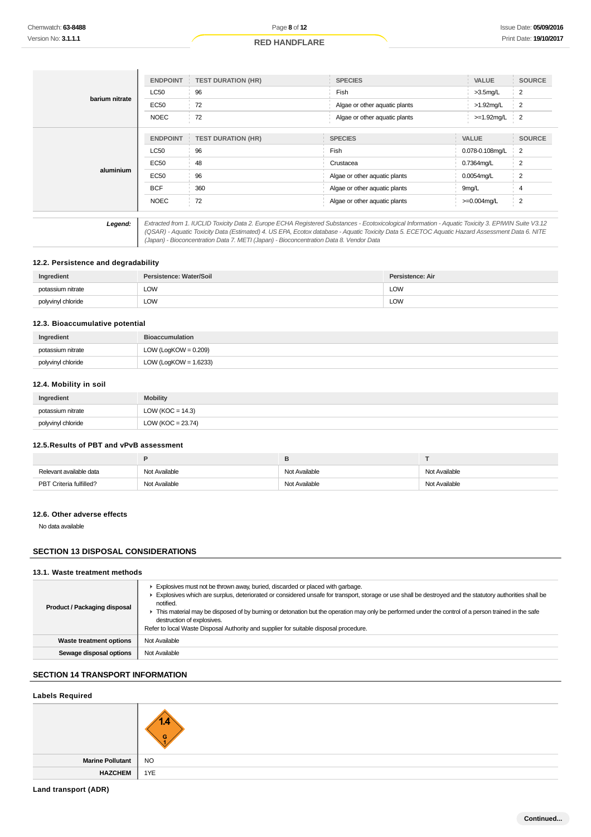|                | <b>ENDPOINT</b>                                                                                                                                                                                                                                                                                                                                                                                 | <b>TEST DURATION (HR)</b>           | <b>SPECIES</b>                |                   | <b>SOURCE</b>  |  |
|----------------|-------------------------------------------------------------------------------------------------------------------------------------------------------------------------------------------------------------------------------------------------------------------------------------------------------------------------------------------------------------------------------------------------|-------------------------------------|-------------------------------|-------------------|----------------|--|
| barium nitrate | <b>LC50</b>                                                                                                                                                                                                                                                                                                                                                                                     | 96<br>Fish                          |                               | $>3.5$ mg/L       | $\overline{2}$ |  |
|                | EC50                                                                                                                                                                                                                                                                                                                                                                                            | 72<br>Algae or other aquatic plants |                               | $>1.92$ mg/L      | 2              |  |
|                | <b>NOEC</b>                                                                                                                                                                                                                                                                                                                                                                                     | 72                                  | Algae or other aquatic plants | $>=1.92$ mg/L     | $\overline{2}$ |  |
|                | <b>ENDPOINT</b>                                                                                                                                                                                                                                                                                                                                                                                 | <b>TEST DURATION (HR)</b>           | <b>SPECIES</b>                | <b>VALUE</b>      | <b>SOURCE</b>  |  |
|                | <b>LC50</b>                                                                                                                                                                                                                                                                                                                                                                                     | 96                                  | Fish                          | 0.078-0.108mg/L   | $\overline{2}$ |  |
|                | EC50                                                                                                                                                                                                                                                                                                                                                                                            | 48                                  | Crustacea                     |                   | 2              |  |
| aluminium      | <b>EC50</b>                                                                                                                                                                                                                                                                                                                                                                                     | 96                                  | Algae or other aquatic plants |                   | 2              |  |
|                | <b>BCF</b>                                                                                                                                                                                                                                                                                                                                                                                      | 360                                 | Algae or other aquatic plants | 9 <sub>mg/L</sub> | 4              |  |
|                | <b>NOEC</b>                                                                                                                                                                                                                                                                                                                                                                                     | 72                                  | Algae or other aquatic plants | $>=0.004$ mg/L    | $\frac{1}{2}$  |  |
|                |                                                                                                                                                                                                                                                                                                                                                                                                 |                                     |                               |                   |                |  |
| Legend:        | Extracted from 1. IUCLID Toxicity Data 2. Europe ECHA Registered Substances - Ecotoxicological Information - Aquatic Toxicity 3. EPIWIN Suite V3.12<br>(QSAR) - Aquatic Toxicity Data (Estimated) 4. US EPA, Ecotox database - Aquatic Toxicity Data 5. ECETOC Aquatic Hazard Assessment Data 6. NITE<br>(Japan) - Bioconcentration Data 7. METI (Japan) - Bioconcentration Data 8. Vendor Data |                                     |                               |                   |                |  |

### **12.2. Persistence and degradability**

| Ingredient         | Persistence: Water/Soil | Persistence: Air |
|--------------------|-------------------------|------------------|
| potassium nitrate  | LOW<br>__               | LOW              |
| polyvinyl chloride | <b>LOW</b>              | LOW              |

### **12.3. Bioaccumulative potential**

| Ingredient         | <b>Bioaccumulation</b>   |
|--------------------|--------------------------|
| potassium nitrate  | LOW (LogKOW = $0.209$ )  |
| polyvinyl chloride | LOW (LogKOW = $1.6233$ ) |

### **12.4. Mobility in soil**

| Ingredient         | <b>Mobility</b>       |
|--------------------|-----------------------|
| potassium nitrate  | LOW ( $KOC = 14.3$ )  |
| polyvinyl chloride | LOW ( $KOC = 23.74$ ) |

## **12.5.Results of PBT and vPvB assessment**

| Relevant available data | Not Available | Not Available | Not Available |
|-------------------------|---------------|---------------|---------------|
| PBT Criteria fulfilled? | Not Available | Not Available | Not Available |

## **12.6. Other adverse effects**

No data available

### **SECTION 13 DISPOSAL CONSIDERATIONS**

### **13.1. Waste treatment methods**

| Product / Packaging disposal   | Explosives must not be thrown away, buried, discarded or placed with garbage.<br>Explosives which are surplus, deteriorated or considered unsafe for transport, storage or use shall be destroyed and the statutory authorities shall be<br>notified.<br>F This material may be disposed of by burning or detonation but the operation may only be performed under the control of a person trained in the safe<br>destruction of explosives.<br>Refer to local Waste Disposal Authority and supplier for suitable disposal procedure. |
|--------------------------------|---------------------------------------------------------------------------------------------------------------------------------------------------------------------------------------------------------------------------------------------------------------------------------------------------------------------------------------------------------------------------------------------------------------------------------------------------------------------------------------------------------------------------------------|
| <b>Waste treatment options</b> | Not Available                                                                                                                                                                                                                                                                                                                                                                                                                                                                                                                         |
| Sewage disposal options        | Not Available                                                                                                                                                                                                                                                                                                                                                                                                                                                                                                                         |

## **SECTION 14 TRANSPORT INFORMATION**

### **Labels Required**

|                  | $\overline{\phantom{a}}$ |
|------------------|--------------------------|
| Marine Pollutant | <b>NO</b>                |
| <b>HAZCHEM</b>   | 1YE                      |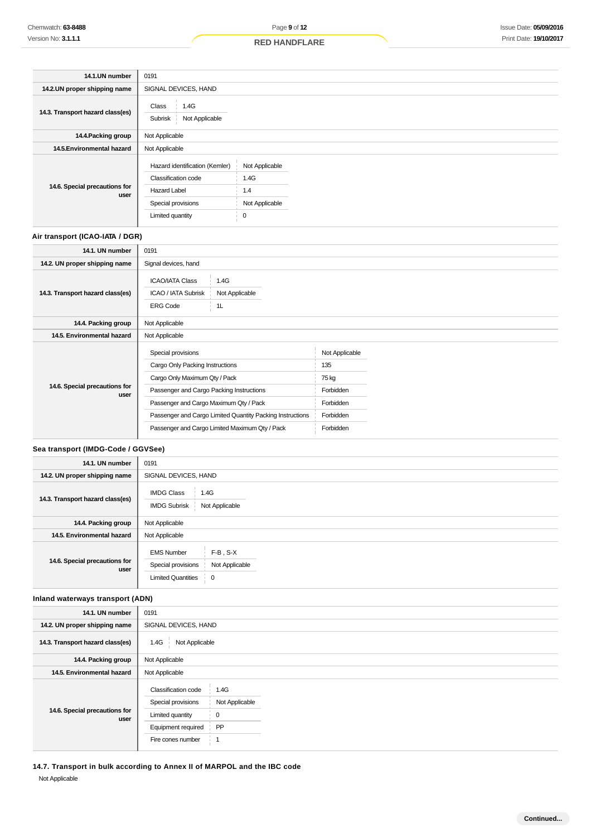| 14.1.UN number                        | 0191                                                                                                                   |                                                      |  |
|---------------------------------------|------------------------------------------------------------------------------------------------------------------------|------------------------------------------------------|--|
| 14.2.UN proper shipping name          | SIGNAL DEVICES, HAND                                                                                                   |                                                      |  |
| 14.3. Transport hazard class(es)      | Class<br>1.4G<br>Not Applicable<br>Subrisk                                                                             |                                                      |  |
| 14.4. Packing group                   | Not Applicable                                                                                                         |                                                      |  |
| 14.5. Environmental hazard            | Not Applicable                                                                                                         |                                                      |  |
| 14.6. Special precautions for<br>user | Hazard identification (Kemler)<br>Classification code<br><b>Hazard Label</b><br>Special provisions<br>Limited quantity | Not Applicable<br>1.4G<br>1.4<br>Not Applicable<br>0 |  |

## **Air transport (ICAO-IATA / DGR)**

| 14.1. UN number                       | 0191                                                                                             |  |                |  |
|---------------------------------------|--------------------------------------------------------------------------------------------------|--|----------------|--|
| 14.2. UN proper shipping name         | Signal devices, hand                                                                             |  |                |  |
| 14.3. Transport hazard class(es)      | <b>ICAO/IATA Class</b><br>1.4G<br>ICAO / IATA Subrisk<br>Not Applicable<br><b>ERG Code</b><br>1L |  |                |  |
| 14.4. Packing group                   | Not Applicable                                                                                   |  |                |  |
| 14.5. Environmental hazard            | Not Applicable                                                                                   |  |                |  |
|                                       | Special provisions                                                                               |  | Not Applicable |  |
|                                       | Cargo Only Packing Instructions                                                                  |  | 135            |  |
|                                       | Cargo Only Maximum Qty / Pack                                                                    |  | 75 kg          |  |
| 14.6. Special precautions for<br>user | Passenger and Cargo Packing Instructions                                                         |  | Forbidden      |  |
|                                       | Passenger and Cargo Maximum Qty / Pack                                                           |  | Forbidden      |  |
|                                       | Passenger and Cargo Limited Quantity Packing Instructions                                        |  | Forbidden      |  |
|                                       | Passenger and Cargo Limited Maximum Qty / Pack                                                   |  | Forbidden      |  |

### **Sea transport (IMDG-Code / GGVSee)**

| 14.1. UN number                       | 0191                                                                      |                                 |  |  |
|---------------------------------------|---------------------------------------------------------------------------|---------------------------------|--|--|
| 14.2. UN proper shipping name         | SIGNAL DEVICES, HAND                                                      |                                 |  |  |
| 14.3. Transport hazard class(es)      | <b>IMDG Class</b><br>1.4G<br><b>IMDG Subrisk</b>                          | Not Applicable                  |  |  |
| 14.4. Packing group                   | Not Applicable                                                            |                                 |  |  |
| 14.5. Environmental hazard            | Not Applicable                                                            |                                 |  |  |
| 14.6. Special precautions for<br>user | <b>EMS Number</b><br>Special provisions<br><b>Limited Quantities</b><br>0 | $F-B$ , $S-X$<br>Not Applicable |  |  |

### **Inland waterways transport (ADN)**

| 14.1. UN number                       | 0191                                                                                                                                                                   |  |  |
|---------------------------------------|------------------------------------------------------------------------------------------------------------------------------------------------------------------------|--|--|
| 14.2. UN proper shipping name         | SIGNAL DEVICES, HAND                                                                                                                                                   |  |  |
| 14.3. Transport hazard class(es)      | Not Applicable<br>1.4G                                                                                                                                                 |  |  |
| 14.4. Packing group                   | Not Applicable                                                                                                                                                         |  |  |
| 14.5. Environmental hazard            | Not Applicable                                                                                                                                                         |  |  |
| 14.6. Special precautions for<br>user | <b>Classification code</b><br>1.4G<br>Special provisions<br>Not Applicable<br>Limited quantity<br>0<br>PP<br>Equipment required<br>Fire cones number<br>$\overline{1}$ |  |  |

**14.7. Transport in bulk according to Annex II of MARPOL and the IBC code** Not Applicable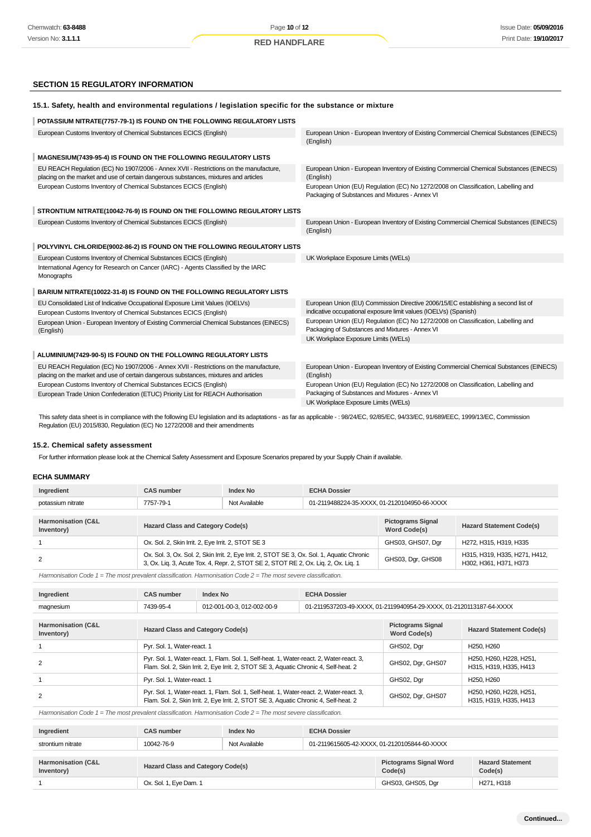## **SECTION 15 REGULATORY INFORMATION**

| 15.1. Safety, health and environmental regulations / legislation specific for the substance or mixture                                                                        |                                                                                                                                                       |
|-------------------------------------------------------------------------------------------------------------------------------------------------------------------------------|-------------------------------------------------------------------------------------------------------------------------------------------------------|
| POTASSIUM NITRATE(7757-79-1) IS FOUND ON THE FOLLOWING REGULATORY LISTS                                                                                                       |                                                                                                                                                       |
| European Customs Inventory of Chemical Substances ECICS (English)                                                                                                             | European Union - European Inventory of Existing Commercial Chemical Substances (EINECS)<br>(English)                                                  |
| MAGNESIUM(7439-95-4) IS FOUND ON THE FOLLOWING REGULATORY LISTS                                                                                                               |                                                                                                                                                       |
| EU REACH Regulation (EC) No 1907/2006 - Annex XVII - Restrictions on the manufacture,<br>placing on the market and use of certain dangerous substances, mixtures and articles | European Union - European Inventory of Existing Commercial Chemical Substances (EINECS)<br>(English)                                                  |
| European Customs Inventory of Chemical Substances ECICS (English)                                                                                                             | European Union (EU) Regulation (EC) No 1272/2008 on Classification, Labelling and<br>Packaging of Substances and Mixtures - Annex VI                  |
| STRONTIUM NITRATE(10042-76-9) IS FOUND ON THE FOLLOWING REGULATORY LISTS                                                                                                      |                                                                                                                                                       |
| European Customs Inventory of Chemical Substances ECICS (English)                                                                                                             | European Union - European Inventory of Existing Commercial Chemical Substances (EINECS)<br>(English)                                                  |
| POLYVINYL CHLORIDE(9002-86-2) IS FOUND ON THE FOLLOWING REGULATORY LISTS                                                                                                      |                                                                                                                                                       |
| European Customs Inventory of Chemical Substances ECICS (English)<br>International Agency for Research on Cancer (IARC) - Agents Classified by the IARC<br>Monographs         | UK Workplace Exposure Limits (WELs)                                                                                                                   |
| BARIUM NITRATE(10022-31-8) IS FOUND ON THE FOLLOWING REGULATORY LISTS                                                                                                         |                                                                                                                                                       |
| EU Consolidated List of Indicative Occupational Exposure Limit Values (IOELVs)<br>European Customs Inventory of Chemical Substances ECICS (English)                           | European Union (EU) Commission Directive 2006/15/EC establishing a second list of<br>indicative occupational exposure limit values (IOELVs) (Spanish) |
| European Union - European Inventory of Existing Commercial Chemical Substances (EINECS)<br>(English)                                                                          | European Union (EU) Regulation (EC) No 1272/2008 on Classification, Labelling and<br>Packaging of Substances and Mixtures - Annex VI                  |
|                                                                                                                                                                               | UK Workplace Exposure Limits (WELs)                                                                                                                   |
| ALUMINIUM(7429-90-5) IS FOUND ON THE FOLLOWING REGULATORY LISTS                                                                                                               |                                                                                                                                                       |
| EU REACH Regulation (EC) No 1907/2006 - Annex XVII - Restrictions on the manufacture,<br>placing on the market and use of certain dangerous substances, mixtures and articles | European Union - European Inventory of Existing Commercial Chemical Substances (EINECS)<br>(English)                                                  |
| European Customs Inventory of Chemical Substances ECICS (English)<br>European Trade Union Confederation (ETUC) Priority List for REACH Authorisation                          | European Union (EU) Regulation (EC) No 1272/2008 on Classification, Labelling and<br>Packaging of Substances and Mixtures - Annex VI                  |
|                                                                                                                                                                               | UK Workplace Exposure Limits (WELs)                                                                                                                   |

This safety data sheet is in compliance with the following EU legislation and its adaptations - as far as applicable - : 98/24/EC, 92/85/EC, 94/33/EC, 91/689/EEC, 1999/13/EC, Commission Regulation (EU) 2015/830, Regulation (EC) No 1272/2008 and their amendments

### **15.2. Chemical safety assessment**

For further information please look at the Chemical Safety Assessment and Exposure Scenarios prepared by your Supply Chain if available.

#### **ECHA SUMMARY**

| Ingredient                       | <b>CAS number</b>                                                                                                                                                                 | <b>Index No</b>                                    | <b>ECHA Dossier</b> |                                          |                                                         |
|----------------------------------|-----------------------------------------------------------------------------------------------------------------------------------------------------------------------------------|----------------------------------------------------|---------------------|------------------------------------------|---------------------------------------------------------|
| potassium nitrate                | Not Available<br>01-2119488224-35-XXXX, 01-2120104950-66-XXXX<br>7757-79-1                                                                                                        |                                                    |                     |                                          |                                                         |
|                                  |                                                                                                                                                                                   |                                                    |                     |                                          |                                                         |
| Harmonisation (C&L<br>Inventory) | <b>Hazard Class and Category Code(s)</b>                                                                                                                                          |                                                    |                     | <b>Pictograms Signal</b><br>Word Code(s) | <b>Hazard Statement Code(s)</b>                         |
|                                  |                                                                                                                                                                                   | Ox. Sol. 2, Skin Irrit. 2, Eye Irrit. 2, STOT SE 3 |                     |                                          | H272, H315, H319, H335                                  |
| 2                                | Ox. Sol. 3, Ox. Sol. 2, Skin Irrit. 2, Eye Irrit. 2, STOT SE 3, Ox. Sol. 1, Aquatic Chronic<br>3, Ox. Lig. 3, Acute Tox. 4, Repr. 2, STOT SE 2, STOT RE 2, Ox. Lig. 2, Ox. Lig. 1 |                                                    |                     | GHS03, Dgr, GHS08                        | H315, H319, H335, H271, H412,<br>H302, H361, H371, H373 |

Harmonisation Code  $1 =$  The most prevalent classification. Harmonisation Code  $2 =$  The most severe classification.

| Ingredient                                  | <b>CAS number</b>                                                                                                                                                                 | <b>Index No</b>             | <b>ECHA Dossier</b>                      |                                                                     |                                     |
|---------------------------------------------|-----------------------------------------------------------------------------------------------------------------------------------------------------------------------------------|-----------------------------|------------------------------------------|---------------------------------------------------------------------|-------------------------------------|
| magnesium                                   | 7439-95-4                                                                                                                                                                         | 012-001-00-3, 012-002-00-9  |                                          | 01-2119537203-49-XXXX, 01-2119940954-29-XXXX, 01-2120113187-64-XXXX |                                     |
|                                             |                                                                                                                                                                                   |                             |                                          |                                                                     |                                     |
| <b>Harmonisation (C&amp;L</b><br>Inventory) | <b>Hazard Class and Category Code(s)</b>                                                                                                                                          |                             | <b>Pictograms Signal</b><br>Word Code(s) | <b>Hazard Statement Code(s)</b>                                     |                                     |
|                                             |                                                                                                                                                                                   | Pyr. Sol. 1, Water-react. 1 |                                          | GHS02, Dgr                                                          | H <sub>250</sub> . H <sub>260</sub> |
|                                             | Pyr. Sol. 1, Water-react. 1, Flam. Sol. 1, Self-heat. 1, Water-react. 2, Water-react. 3,<br>Flam. Sol. 2, Skin Irrit. 2, Eye Irrit. 2, STOT SE 3, Aquatic Chronic 4, Self-heat. 2 |                             | GHS02, Dgr, GHS07                        | H250, H260, H228, H251,<br>H315, H319, H335, H413                   |                                     |

1 Pyr. Sol. 1, Water-react. 1 GHS02, Dgr H250, H260

|  | Pyr. Sol. 1, Water-react. 1, Flam. Sol. 1, Self-heat. 1, Water-react. 2, Water-react. 3,<br>Flam. Sol. 2, Skin Irrit. 2, Eye Irrit. 2, STOT SE 3, Aquatic Chronic 4, Self-heat. 2 | GHS02, Dgr, GHS07 | H250, H260, H228, H251,<br>H315, H319, H335, H413 |
|--|-----------------------------------------------------------------------------------------------------------------------------------------------------------------------------------|-------------------|---------------------------------------------------|
|  | Harmonisation Code $1 =$ The most prevalent classification. Harmonisation Code $2 =$ The most severe classification.                                                              |                   |                                                   |

| Ingredient                                  | <b>CAS number</b>                        | Index No      | <b>ECHA Dossier</b>                      |                                              |  |
|---------------------------------------------|------------------------------------------|---------------|------------------------------------------|----------------------------------------------|--|
| strontium nitrate                           | 10042-76-9                               | Not Available |                                          | 01-2119615605-42-XXXX, 01-2120105844-60-XXXX |  |
|                                             |                                          |               |                                          |                                              |  |
| <b>Harmonisation (C&amp;L</b><br>Inventory) | <b>Hazard Class and Category Code(s)</b> |               | <b>Pictograms Signal Word</b><br>Code(s) | <b>Hazard Statement</b><br>Code(s)           |  |
|                                             | Ox. Sol. 1, Eye Dam. 1                   |               | GHS03, GHS05, Dgr                        | H271, H318                                   |  |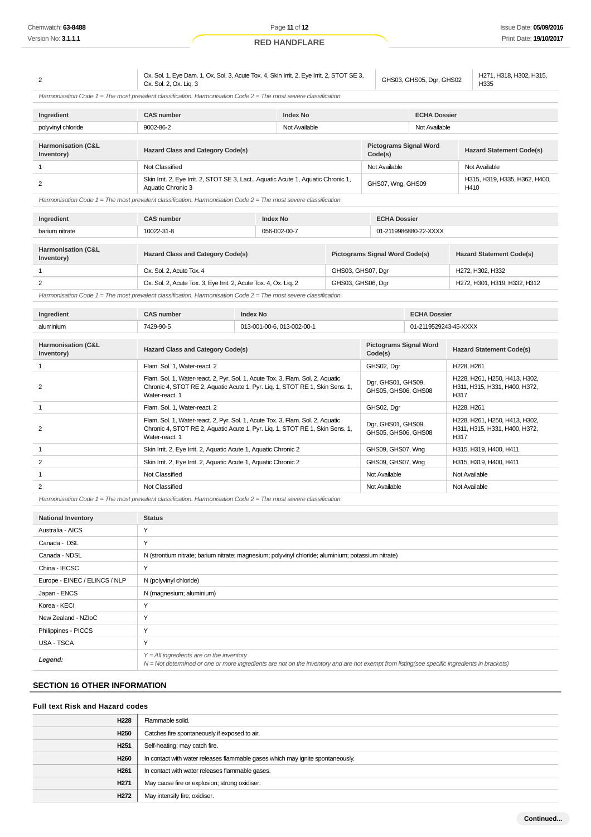| 2                                           | Ox. Sol. 1, Eye Dam. 1, Ox. Sol. 3, Acute Tox. 4, Skin Irrit. 2, Eye Irrit. 2, STOT SE 3,<br>GHS03, GHS05, Dgr, GHS02<br>Ox. Sol. 2, Ox. Lig. 3                                  |                                                                                                                                                                |                                          |                                          |                                           | H271, H318, H302, H315,<br>H335 |                                 |                                                                |
|---------------------------------------------|----------------------------------------------------------------------------------------------------------------------------------------------------------------------------------|----------------------------------------------------------------------------------------------------------------------------------------------------------------|------------------------------------------|------------------------------------------|-------------------------------------------|---------------------------------|---------------------------------|----------------------------------------------------------------|
|                                             | Harmonisation Code $1 =$ The most prevalent classification. Harmonisation Code $2 =$ The most severe classification.                                                             |                                                                                                                                                                |                                          |                                          |                                           |                                 |                                 |                                                                |
| Ingredient                                  | <b>CAS number</b>                                                                                                                                                                |                                                                                                                                                                | <b>Index No</b>                          |                                          |                                           | <b>ECHA Dossier</b>             |                                 |                                                                |
| polyvinyl chloride                          | 9002-86-2                                                                                                                                                                        |                                                                                                                                                                | Not Available                            |                                          |                                           | Not Available                   |                                 |                                                                |
| <b>Harmonisation (C&amp;L</b><br>Inventory) | Hazard Class and Category Code(s)                                                                                                                                                |                                                                                                                                                                | <b>Pictograms Signal Word</b><br>Code(s) |                                          | <b>Hazard Statement Code(s)</b>           |                                 |                                 |                                                                |
| $\mathbf{1}$                                | Not Classified                                                                                                                                                                   |                                                                                                                                                                |                                          |                                          | Not Available                             |                                 |                                 | Not Available                                                  |
| $\overline{2}$                              | Skin Irrit. 2, Eye Irrit. 2, STOT SE 3, Lact., Aquatic Acute 1, Aquatic Chronic 1,<br>Aquatic Chronic 3                                                                          |                                                                                                                                                                |                                          |                                          | GHS07, Wng, GHS09                         |                                 |                                 | H315, H319, H335, H362, H400,<br>H410                          |
|                                             | Harmonisation Code $1$ = The most prevalent classification. Harmonisation Code $2$ = The most severe classification.                                                             |                                                                                                                                                                |                                          |                                          |                                           |                                 |                                 |                                                                |
| Ingredient                                  | <b>CAS number</b>                                                                                                                                                                |                                                                                                                                                                | <b>Index No</b>                          |                                          | <b>ECHA Dossier</b>                       |                                 |                                 |                                                                |
| barium nitrate                              | 10022-31-8                                                                                                                                                                       |                                                                                                                                                                | 056-002-00-7                             |                                          |                                           | 01-2119986880-22-XXXX           |                                 |                                                                |
|                                             |                                                                                                                                                                                  |                                                                                                                                                                |                                          |                                          |                                           |                                 |                                 |                                                                |
| Harmonisation (C&L<br>Inventory)            | Hazard Class and Category Code(s)                                                                                                                                                |                                                                                                                                                                | <b>Pictograms Signal Word Code(s)</b>    |                                          |                                           | <b>Hazard Statement Code(s)</b> |                                 |                                                                |
| $\mathbf{1}$                                | Ox. Sol. 2, Acute Tox. 4                                                                                                                                                         |                                                                                                                                                                |                                          | GHS03, GHS07, Dgr                        |                                           |                                 | H272, H302, H332                |                                                                |
| $\overline{2}$                              | Ox. Sol. 2, Acute Tox. 3, Eye Irrit. 2, Acute Tox. 4, Ox. Liq. 2                                                                                                                 |                                                                                                                                                                | GHS03, GHS06, Dgr                        |                                          |                                           |                                 | H272, H301, H319, H332, H312    |                                                                |
|                                             | Harmonisation Code $1 =$ The most prevalent classification. Harmonisation Code $2 =$ The most severe classification.                                                             |                                                                                                                                                                |                                          |                                          |                                           |                                 |                                 |                                                                |
| Ingredient                                  | <b>CAS number</b><br><b>Index No</b>                                                                                                                                             |                                                                                                                                                                |                                          | <b>ECHA Dossier</b>                      |                                           |                                 |                                 |                                                                |
| aluminium                                   | 7429-90-5                                                                                                                                                                        |                                                                                                                                                                | 013-001-00-6, 013-002-00-1               |                                          | 01-2119529243-45-XXXX                     |                                 |                                 |                                                                |
| Harmonisation (C&L<br>Inventory)            |                                                                                                                                                                                  | <b>Hazard Class and Category Code(s)</b>                                                                                                                       |                                          | <b>Pictograms Signal Word</b><br>Code(s) |                                           |                                 | <b>Hazard Statement Code(s)</b> |                                                                |
| $\mathbf{1}$                                | Flam. Sol. 1, Water-react. 2                                                                                                                                                     |                                                                                                                                                                |                                          |                                          | GHS02, Dgr                                |                                 | H228, H261                      |                                                                |
| 2                                           | Water-react. 1                                                                                                                                                                   | Flam. Sol. 1, Water-react. 2, Pyr. Sol. 1, Acute Tox. 3, Flam. Sol. 2, Aquatic<br>Chronic 4, STOT RE 2, Aquatic Acute 1, Pyr. Lig. 1, STOT RE 1, Skin Sens. 1, |                                          |                                          | Dgr, GHS01, GHS09,<br>GHS05, GHS06, GHS08 |                                 | H317                            | H228, H261, H250, H413, H302,<br>H311, H315, H331, H400, H372, |
| $\mathbf{1}$                                | Flam. Sol. 1, Water-react. 2                                                                                                                                                     |                                                                                                                                                                |                                          |                                          | GHS02, Dgr                                |                                 | H228, H261                      |                                                                |
| 2                                           | Flam. Sol. 1, Water-react. 2, Pyr. Sol. 1, Acute Tox. 3, Flam. Sol. 2, Aquatic<br>Chronic 4, STOT RE 2, Aquatic Acute 1, Pyr. Lig. 1, STOT RE 1, Skin Sens. 1,<br>Water-react. 1 |                                                                                                                                                                |                                          |                                          | Dgr, GHS01, GHS09,<br>GHS05, GHS06, GHS08 |                                 | H317                            | H228, H261, H250, H413, H302,<br>H311, H315, H331, H400, H372, |
| $\mathbf{1}$                                |                                                                                                                                                                                  | Skin Irrit. 2, Eye Irrit. 2, Aquatic Acute 1, Aquatic Chronic 2                                                                                                |                                          |                                          | GHS09, GHS07, Wng                         |                                 |                                 | H315, H319, H400, H411                                         |
| $\overline{2}$                              | Skin Irrit. 2, Eye Irrit. 2, Aquatic Acute 1, Aquatic Chronic 2                                                                                                                  |                                                                                                                                                                |                                          |                                          | GHS09, GHS07, Wng                         |                                 |                                 | H315, H319, H400, H411                                         |
| 1                                           | Not Classified                                                                                                                                                                   |                                                                                                                                                                |                                          |                                          | Not Available                             |                                 | Not Available                   |                                                                |
| 2                                           | Not Classified                                                                                                                                                                   |                                                                                                                                                                |                                          |                                          | Not Available                             |                                 | Not Available                   |                                                                |

Harmonisation Code 1 = The most prevalent classification. Harmonisation Code 2 = The most severe classification.

| <b>National Inventory</b>     | <b>Status</b>                                                                                                                                                                              |
|-------------------------------|--------------------------------------------------------------------------------------------------------------------------------------------------------------------------------------------|
| Australia - AICS              | Υ                                                                                                                                                                                          |
| Canada - DSL                  | Y                                                                                                                                                                                          |
| Canada - NDSL                 | N (strontium nitrate; barium nitrate; magnesium; polyvinyl chloride; aluminium; potassium nitrate)                                                                                         |
| China - IECSC                 | Υ                                                                                                                                                                                          |
| Europe - EINEC / ELINCS / NLP | N (polyvinyl chloride)                                                                                                                                                                     |
| Japan - ENCS                  | N (magnesium; aluminium)                                                                                                                                                                   |
| Korea - KECI                  | Υ                                                                                                                                                                                          |
| New Zealand - NZIoC           | Υ                                                                                                                                                                                          |
| Philippines - PICCS           | Υ                                                                                                                                                                                          |
| USA - TSCA                    | Υ                                                                                                                                                                                          |
| Legend:                       | $Y = All$ ingredients are on the inventory<br>N = Not determined or one or more ingredients are not on the inventory and are not exempt from listing(see specific ingredients in brackets) |

## **SECTION 16 OTHER INFORMATION**

### **Full text Risk and Hazard codes**

| H228             | Flammable solid.                                                               |
|------------------|--------------------------------------------------------------------------------|
| H <sub>250</sub> | Catches fire spontaneously if exposed to air.                                  |
| H <sub>251</sub> | Self-heating: may catch fire.                                                  |
| H <sub>260</sub> | In contact with water releases flammable gases which may ignite spontaneously. |
| H <sub>261</sub> | In contact with water releases flammable gases.                                |
| H <sub>271</sub> | May cause fire or explosion; strong oxidiser.                                  |
| H272             | May intensify fire; oxidiser.                                                  |